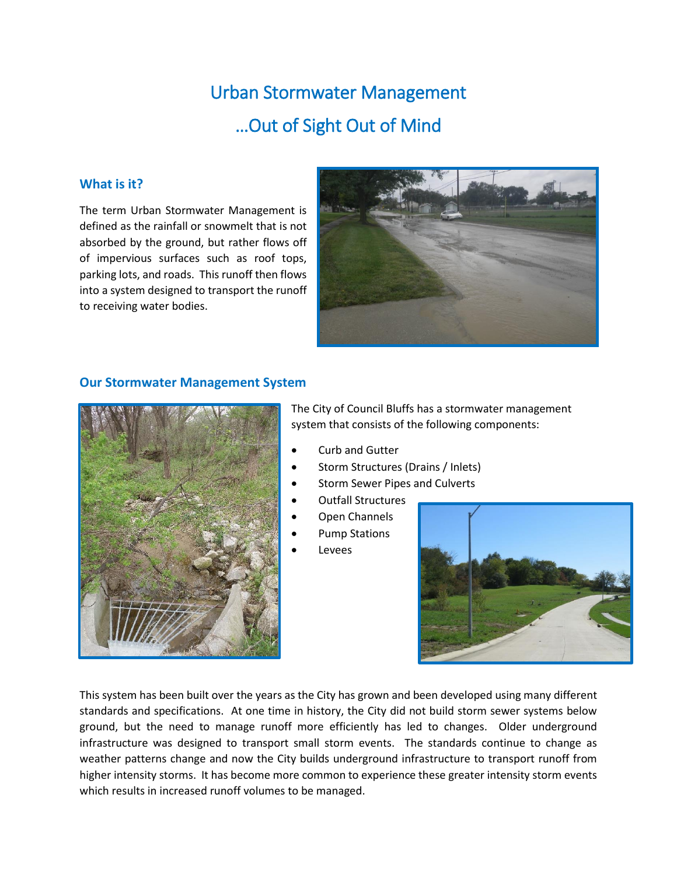# Urban Stormwater Management …Out of Sight Out of Mind

## **What is it?**

The term Urban Stormwater Management is defined as the rainfall or snowmelt that is not absorbed by the ground, but rather flows off of impervious surfaces such as roof tops, parking lots, and roads. This runoff then flows into a system designed to transport the runoff to receiving water bodies.



### **Our Stormwater Management System**



The City of Council Bluffs has a stormwater management system that consists of the following components:

- Curb and Gutter
- Storm Structures (Drains / Inlets)
- Storm Sewer Pipes and Culverts
- Outfall Structures
- Open Channels
- Pump Stations
- Levees



This system has been built over the years as the City has grown and been developed using many different standards and specifications. At one time in history, the City did not build storm sewer systems below ground, but the need to manage runoff more efficiently has led to changes. Older underground infrastructure was designed to transport small storm events. The standards continue to change as weather patterns change and now the City builds underground infrastructure to transport runoff from higher intensity storms. It has become more common to experience these greater intensity storm events which results in increased runoff volumes to be managed.